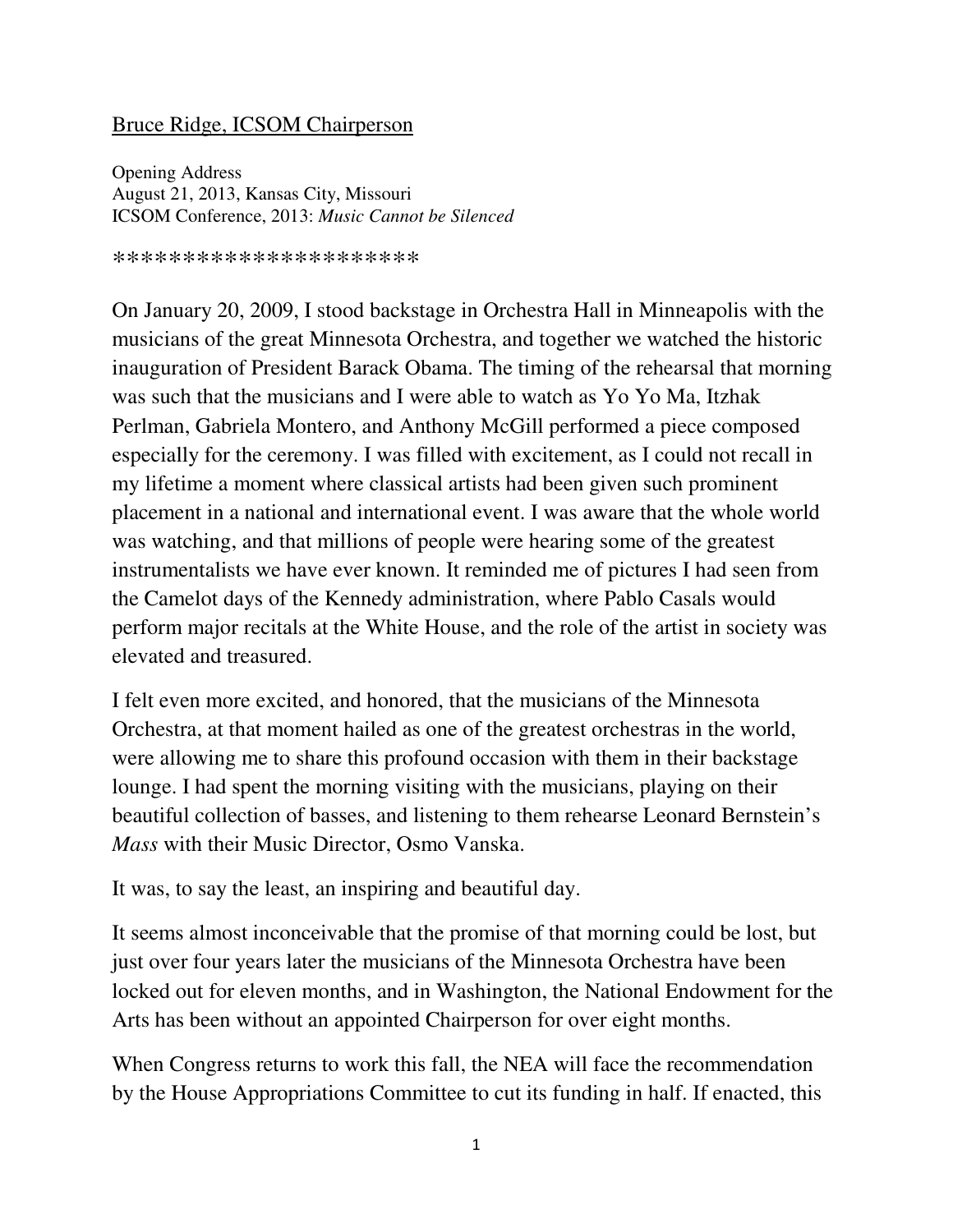## Bruce Ridge, ICSOM Chairperson

Opening Address August 21, 2013, Kansas City, Missouri ICSOM Conference, 2013: *Music Cannot be Silenced*

\*\*\*\*\*\*\*\*\*\*\*\*\*\*\*\*\*\*\*\*\*\*

On January 20, 2009, I stood backstage in Orchestra Hall in Minneapolis with the musicians of the great Minnesota Orchestra, and together we watched the historic inauguration of President Barack Obama. The timing of the rehearsal that morning was such that the musicians and I were able to watch as Yo Yo Ma, Itzhak Perlman, Gabriela Montero, and Anthony McGill performed a piece composed especially for the ceremony. I was filled with excitement, as I could not recall in my lifetime a moment where classical artists had been given such prominent placement in a national and international event. I was aware that the whole world was watching, and that millions of people were hearing some of the greatest instrumentalists we have ever known. It reminded me of pictures I had seen from the Camelot days of the Kennedy administration, where Pablo Casals would perform major recitals at the White House, and the role of the artist in society was elevated and treasured.

I felt even more excited, and honored, that the musicians of the Minnesota Orchestra, at that moment hailed as one of the greatest orchestras in the world, were allowing me to share this profound occasion with them in their backstage lounge. I had spent the morning visiting with the musicians, playing on their beautiful collection of basses, and listening to them rehearse Leonard Bernstein's *Mass* with their Music Director, Osmo Vanska.

It was, to say the least, an inspiring and beautiful day.

It seems almost inconceivable that the promise of that morning could be lost, but just over four years later the musicians of the Minnesota Orchestra have been locked out for eleven months, and in Washington, the National Endowment for the Arts has been without an appointed Chairperson for over eight months.

When Congress returns to work this fall, the NEA will face the recommendation by the House Appropriations Committee to cut its funding in half. If enacted, this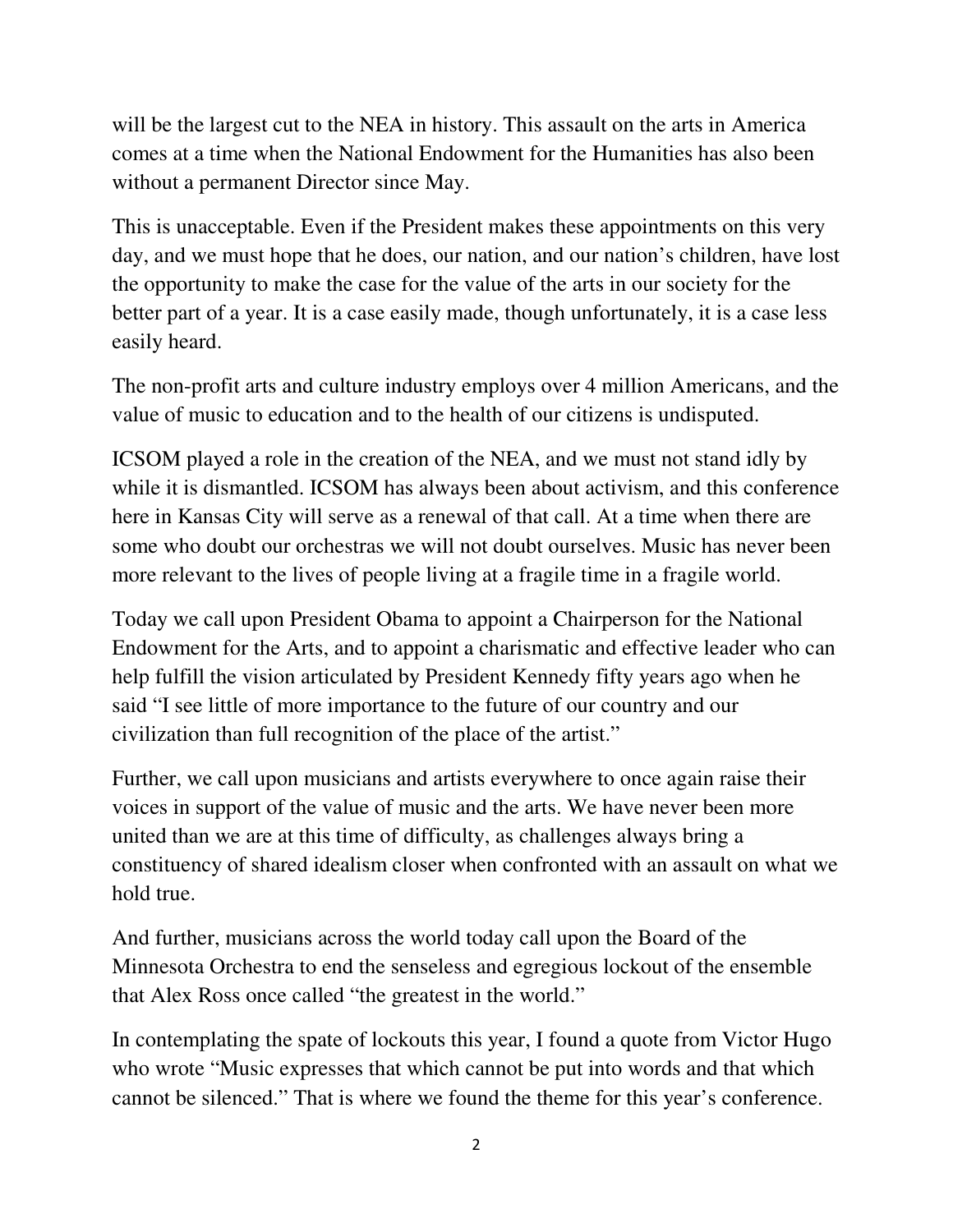will be the largest cut to the NEA in history. This assault on the arts in America comes at a time when the National Endowment for the Humanities has also been without a permanent Director since May.

This is unacceptable. Even if the President makes these appointments on this very day, and we must hope that he does, our nation, and our nation's children, have lost the opportunity to make the case for the value of the arts in our society for the better part of a year. It is a case easily made, though unfortunately, it is a case less easily heard.

The non-profit arts and culture industry employs over 4 million Americans, and the value of music to education and to the health of our citizens is undisputed.

ICSOM played a role in the creation of the NEA, and we must not stand idly by while it is dismantled. ICSOM has always been about activism, and this conference here in Kansas City will serve as a renewal of that call. At a time when there are some who doubt our orchestras we will not doubt ourselves. Music has never been more relevant to the lives of people living at a fragile time in a fragile world.

Today we call upon President Obama to appoint a Chairperson for the National Endowment for the Arts, and to appoint a charismatic and effective leader who can help fulfill the vision articulated by President Kennedy fifty years ago when he said "I see little of more importance to the future of our country and our civilization than full recognition of the place of the artist."

Further, we call upon musicians and artists everywhere to once again raise their voices in support of the value of music and the arts. We have never been more united than we are at this time of difficulty, as challenges always bring a constituency of shared idealism closer when confronted with an assault on what we hold true.

And further, musicians across the world today call upon the Board of the Minnesota Orchestra to end the senseless and egregious lockout of the ensemble that Alex Ross once called "the greatest in the world."

In contemplating the spate of lockouts this year, I found a quote from Victor Hugo who wrote "Music expresses that which cannot be put into words and that which cannot be silenced." That is where we found the theme for this year's conference.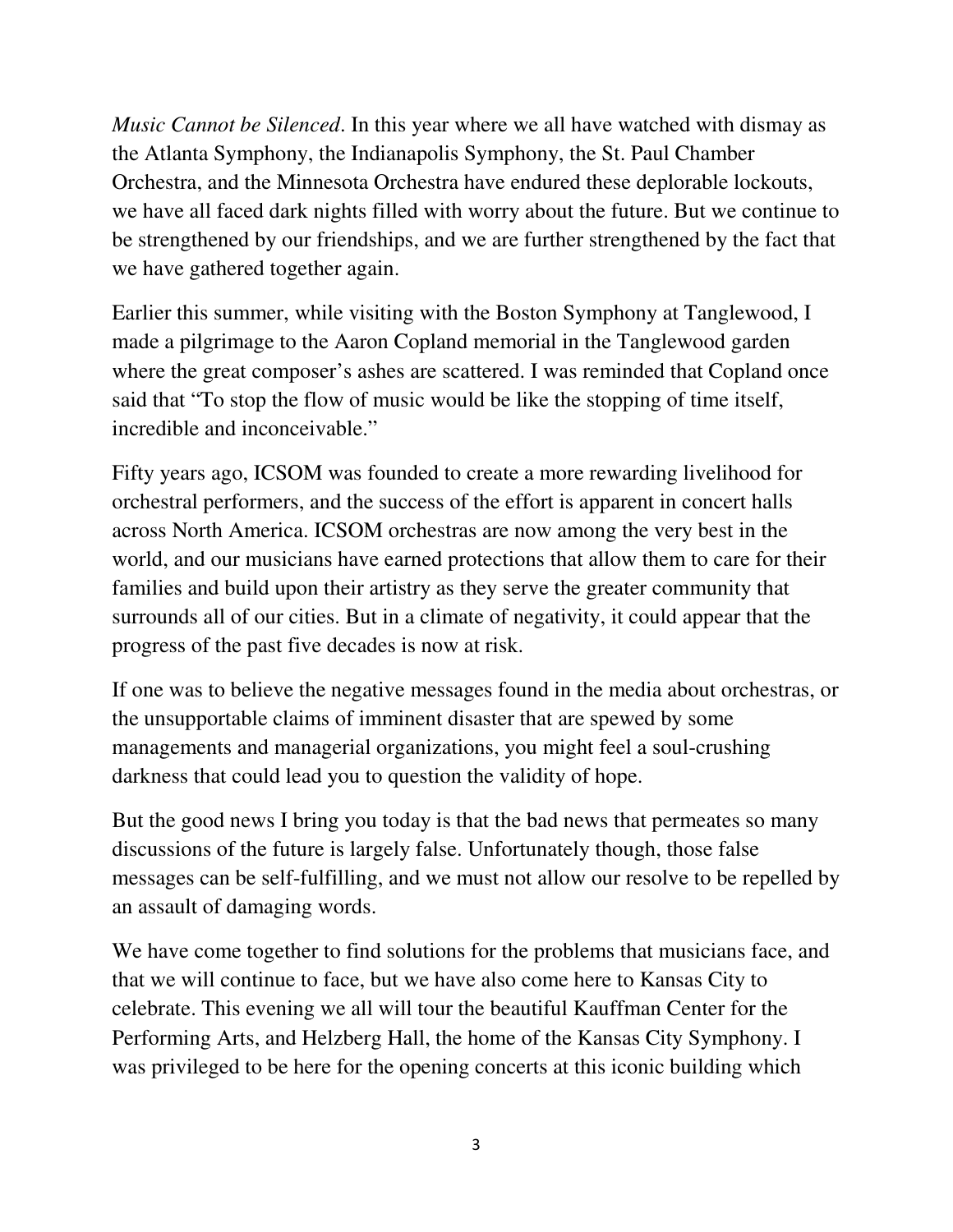*Music Cannot be Silenced*. In this year where we all have watched with dismay as the Atlanta Symphony, the Indianapolis Symphony, the St. Paul Chamber Orchestra, and the Minnesota Orchestra have endured these deplorable lockouts, we have all faced dark nights filled with worry about the future. But we continue to be strengthened by our friendships, and we are further strengthened by the fact that we have gathered together again.

Earlier this summer, while visiting with the Boston Symphony at Tanglewood, I made a pilgrimage to the Aaron Copland memorial in the Tanglewood garden where the great composer's ashes are scattered. I was reminded that Copland once said that "To stop the flow of music would be like the stopping of time itself, incredible and inconceivable."

Fifty years ago, ICSOM was founded to create a more rewarding livelihood for orchestral performers, and the success of the effort is apparent in concert halls across North America. ICSOM orchestras are now among the very best in the world, and our musicians have earned protections that allow them to care for their families and build upon their artistry as they serve the greater community that surrounds all of our cities. But in a climate of negativity, it could appear that the progress of the past five decades is now at risk.

If one was to believe the negative messages found in the media about orchestras, or the unsupportable claims of imminent disaster that are spewed by some managements and managerial organizations, you might feel a soul-crushing darkness that could lead you to question the validity of hope.

But the good news I bring you today is that the bad news that permeates so many discussions of the future is largely false. Unfortunately though, those false messages can be self-fulfilling, and we must not allow our resolve to be repelled by an assault of damaging words.

We have come together to find solutions for the problems that musicians face, and that we will continue to face, but we have also come here to Kansas City to celebrate. This evening we all will tour the beautiful Kauffman Center for the Performing Arts, and Helzberg Hall, the home of the Kansas City Symphony. I was privileged to be here for the opening concerts at this iconic building which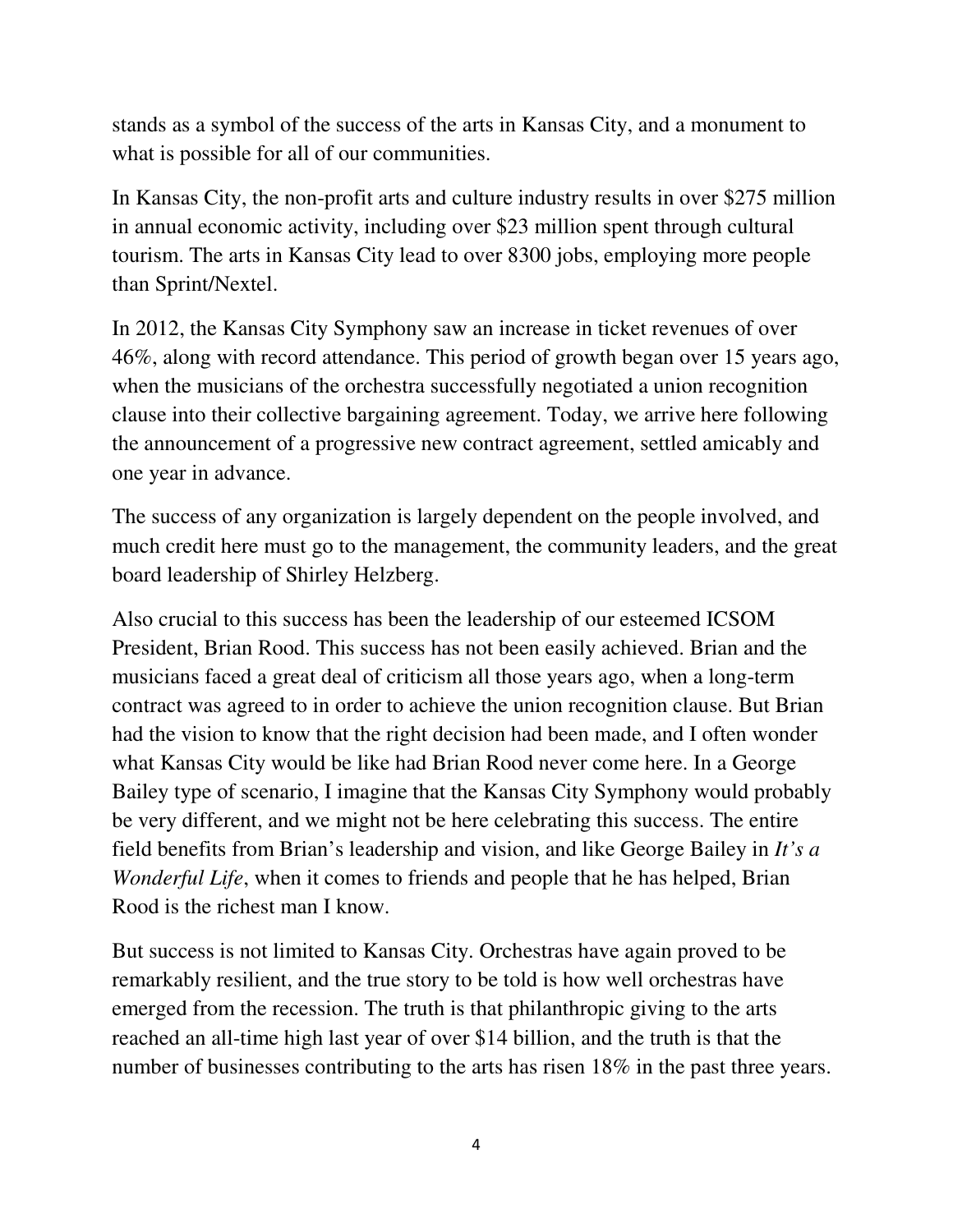stands as a symbol of the success of the arts in Kansas City, and a monument to what is possible for all of our communities.

In Kansas City, the non-profit arts and culture industry results in over \$275 million in annual economic activity, including over \$23 million spent through cultural tourism. The arts in Kansas City lead to over 8300 jobs, employing more people than Sprint/Nextel.

In 2012, the Kansas City Symphony saw an increase in ticket revenues of over 46%, along with record attendance. This period of growth began over 15 years ago, when the musicians of the orchestra successfully negotiated a union recognition clause into their collective bargaining agreement. Today, we arrive here following the announcement of a progressive new contract agreement, settled amicably and one year in advance.

The success of any organization is largely dependent on the people involved, and much credit here must go to the management, the community leaders, and the great board leadership of Shirley Helzberg.

Also crucial to this success has been the leadership of our esteemed ICSOM President, Brian Rood. This success has not been easily achieved. Brian and the musicians faced a great deal of criticism all those years ago, when a long-term contract was agreed to in order to achieve the union recognition clause. But Brian had the vision to know that the right decision had been made, and I often wonder what Kansas City would be like had Brian Rood never come here. In a George Bailey type of scenario, I imagine that the Kansas City Symphony would probably be very different, and we might not be here celebrating this success. The entire field benefits from Brian's leadership and vision, and like George Bailey in *It's a Wonderful Life*, when it comes to friends and people that he has helped, Brian Rood is the richest man I know.

But success is not limited to Kansas City. Orchestras have again proved to be remarkably resilient, and the true story to be told is how well orchestras have emerged from the recession. The truth is that philanthropic giving to the arts reached an all-time high last year of over \$14 billion, and the truth is that the number of businesses contributing to the arts has risen 18% in the past three years.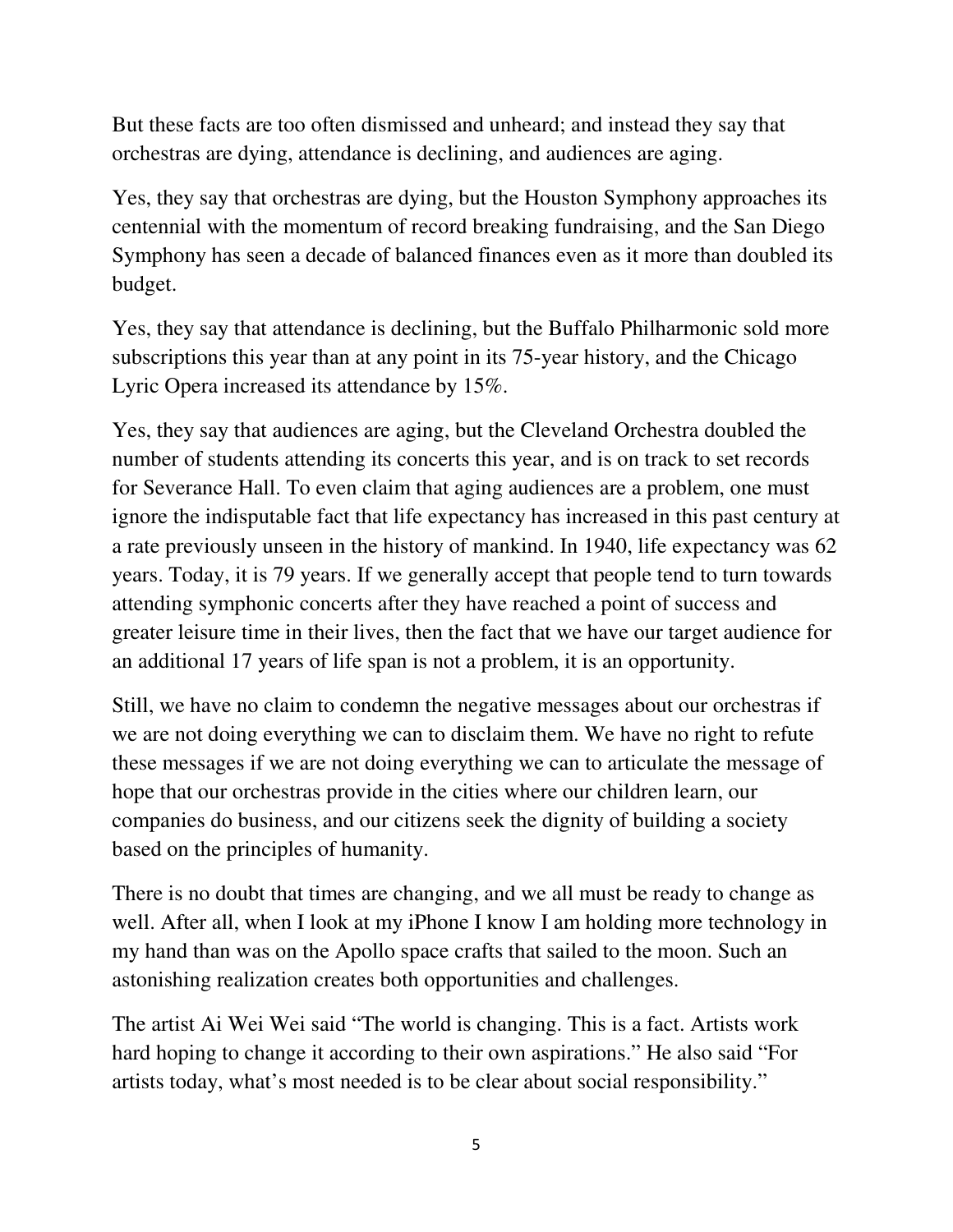But these facts are too often dismissed and unheard; and instead they say that orchestras are dying, attendance is declining, and audiences are aging.

Yes, they say that orchestras are dying, but the Houston Symphony approaches its centennial with the momentum of record breaking fundraising, and the San Diego Symphony has seen a decade of balanced finances even as it more than doubled its budget.

Yes, they say that attendance is declining, but the Buffalo Philharmonic sold more subscriptions this year than at any point in its 75-year history, and the Chicago Lyric Opera increased its attendance by 15%.

Yes, they say that audiences are aging, but the Cleveland Orchestra doubled the number of students attending its concerts this year, and is on track to set records for Severance Hall. To even claim that aging audiences are a problem, one must ignore the indisputable fact that life expectancy has increased in this past century at a rate previously unseen in the history of mankind. In 1940, life expectancy was 62 years. Today, it is 79 years. If we generally accept that people tend to turn towards attending symphonic concerts after they have reached a point of success and greater leisure time in their lives, then the fact that we have our target audience for an additional 17 years of life span is not a problem, it is an opportunity.

Still, we have no claim to condemn the negative messages about our orchestras if we are not doing everything we can to disclaim them. We have no right to refute these messages if we are not doing everything we can to articulate the message of hope that our orchestras provide in the cities where our children learn, our companies do business, and our citizens seek the dignity of building a society based on the principles of humanity.

There is no doubt that times are changing, and we all must be ready to change as well. After all, when I look at my iPhone I know I am holding more technology in my hand than was on the Apollo space crafts that sailed to the moon. Such an astonishing realization creates both opportunities and challenges.

The artist Ai Wei Wei said "The world is changing. This is a fact. Artists work hard hoping to change it according to their own aspirations." He also said "For artists today, what's most needed is to be clear about social responsibility."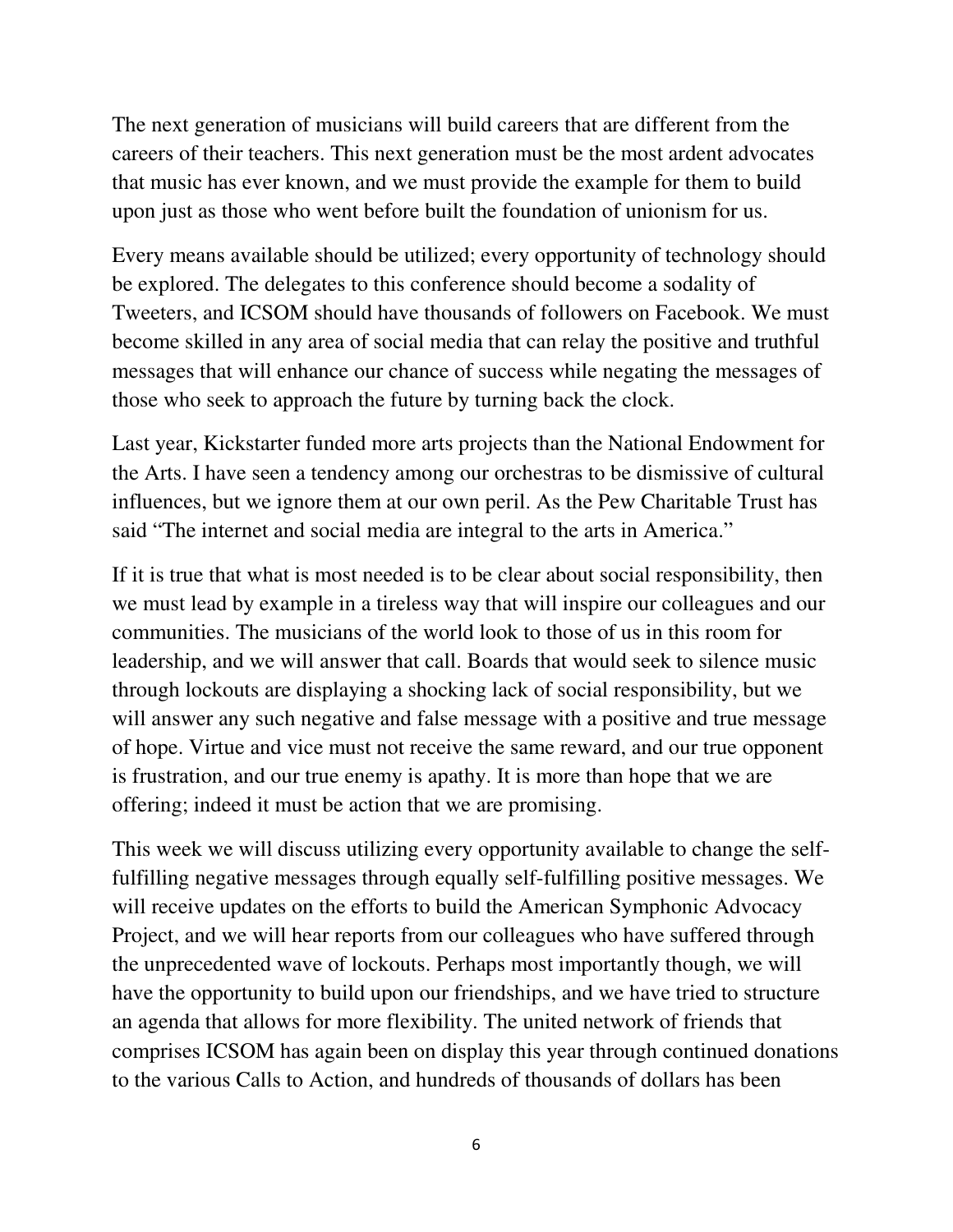The next generation of musicians will build careers that are different from the careers of their teachers. This next generation must be the most ardent advocates that music has ever known, and we must provide the example for them to build upon just as those who went before built the foundation of unionism for us.

Every means available should be utilized; every opportunity of technology should be explored. The delegates to this conference should become a sodality of Tweeters, and ICSOM should have thousands of followers on Facebook. We must become skilled in any area of social media that can relay the positive and truthful messages that will enhance our chance of success while negating the messages of those who seek to approach the future by turning back the clock.

Last year, Kickstarter funded more arts projects than the National Endowment for the Arts. I have seen a tendency among our orchestras to be dismissive of cultural influences, but we ignore them at our own peril. As the Pew Charitable Trust has said "The internet and social media are integral to the arts in America."

If it is true that what is most needed is to be clear about social responsibility, then we must lead by example in a tireless way that will inspire our colleagues and our communities. The musicians of the world look to those of us in this room for leadership, and we will answer that call. Boards that would seek to silence music through lockouts are displaying a shocking lack of social responsibility, but we will answer any such negative and false message with a positive and true message of hope. Virtue and vice must not receive the same reward, and our true opponent is frustration, and our true enemy is apathy. It is more than hope that we are offering; indeed it must be action that we are promising.

This week we will discuss utilizing every opportunity available to change the selffulfilling negative messages through equally self-fulfilling positive messages. We will receive updates on the efforts to build the American Symphonic Advocacy Project, and we will hear reports from our colleagues who have suffered through the unprecedented wave of lockouts. Perhaps most importantly though, we will have the opportunity to build upon our friendships, and we have tried to structure an agenda that allows for more flexibility. The united network of friends that comprises ICSOM has again been on display this year through continued donations to the various Calls to Action, and hundreds of thousands of dollars has been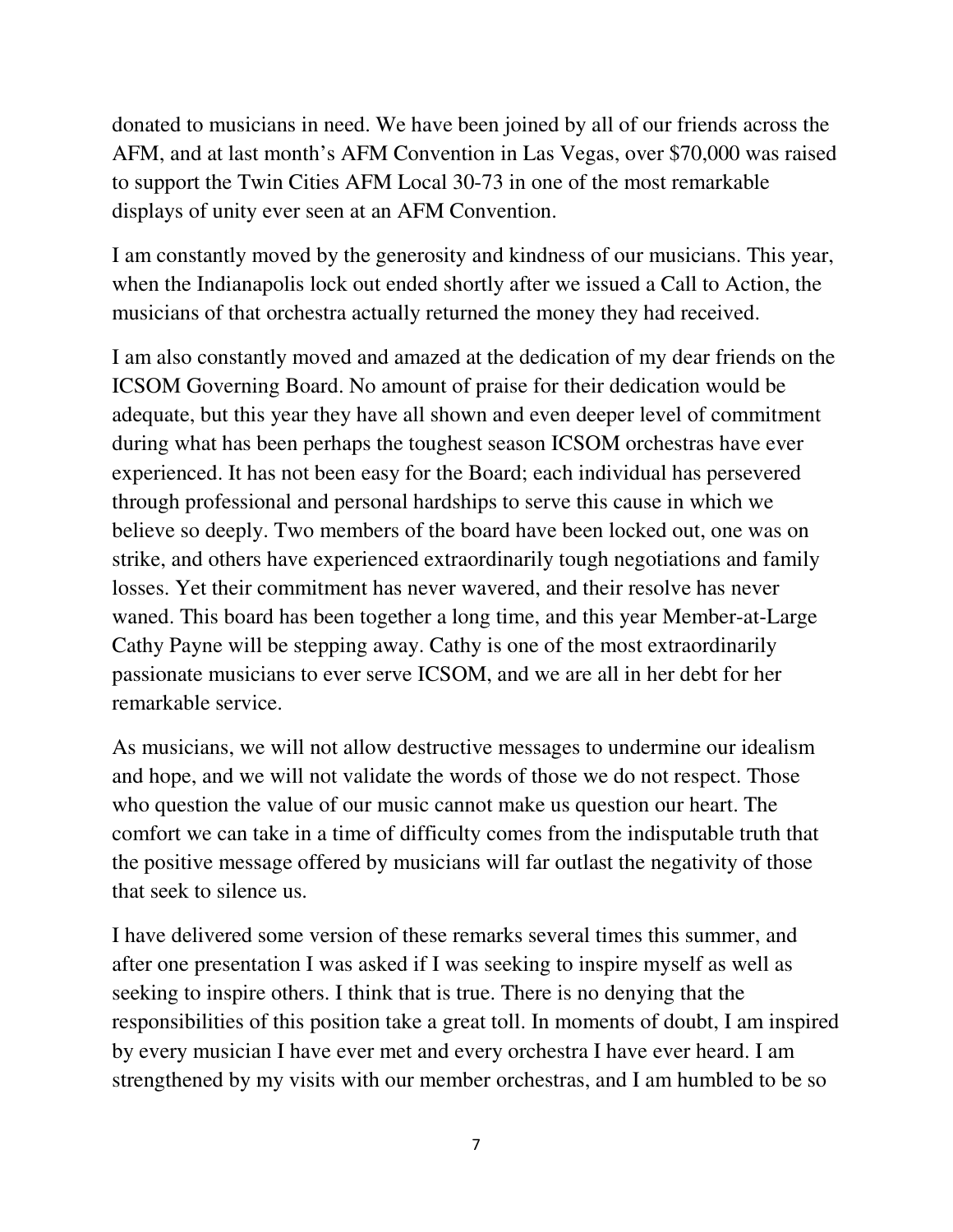donated to musicians in need. We have been joined by all of our friends across the AFM, and at last month's AFM Convention in Las Vegas, over \$70,000 was raised to support the Twin Cities AFM Local 30-73 in one of the most remarkable displays of unity ever seen at an AFM Convention.

I am constantly moved by the generosity and kindness of our musicians. This year, when the Indianapolis lock out ended shortly after we issued a Call to Action, the musicians of that orchestra actually returned the money they had received.

I am also constantly moved and amazed at the dedication of my dear friends on the ICSOM Governing Board. No amount of praise for their dedication would be adequate, but this year they have all shown and even deeper level of commitment during what has been perhaps the toughest season ICSOM orchestras have ever experienced. It has not been easy for the Board; each individual has persevered through professional and personal hardships to serve this cause in which we believe so deeply. Two members of the board have been locked out, one was on strike, and others have experienced extraordinarily tough negotiations and family losses. Yet their commitment has never wavered, and their resolve has never waned. This board has been together a long time, and this year Member-at-Large Cathy Payne will be stepping away. Cathy is one of the most extraordinarily passionate musicians to ever serve ICSOM, and we are all in her debt for her remarkable service.

As musicians, we will not allow destructive messages to undermine our idealism and hope, and we will not validate the words of those we do not respect. Those who question the value of our music cannot make us question our heart. The comfort we can take in a time of difficulty comes from the indisputable truth that the positive message offered by musicians will far outlast the negativity of those that seek to silence us.

I have delivered some version of these remarks several times this summer, and after one presentation I was asked if I was seeking to inspire myself as well as seeking to inspire others. I think that is true. There is no denying that the responsibilities of this position take a great toll. In moments of doubt, I am inspired by every musician I have ever met and every orchestra I have ever heard. I am strengthened by my visits with our member orchestras, and I am humbled to be so